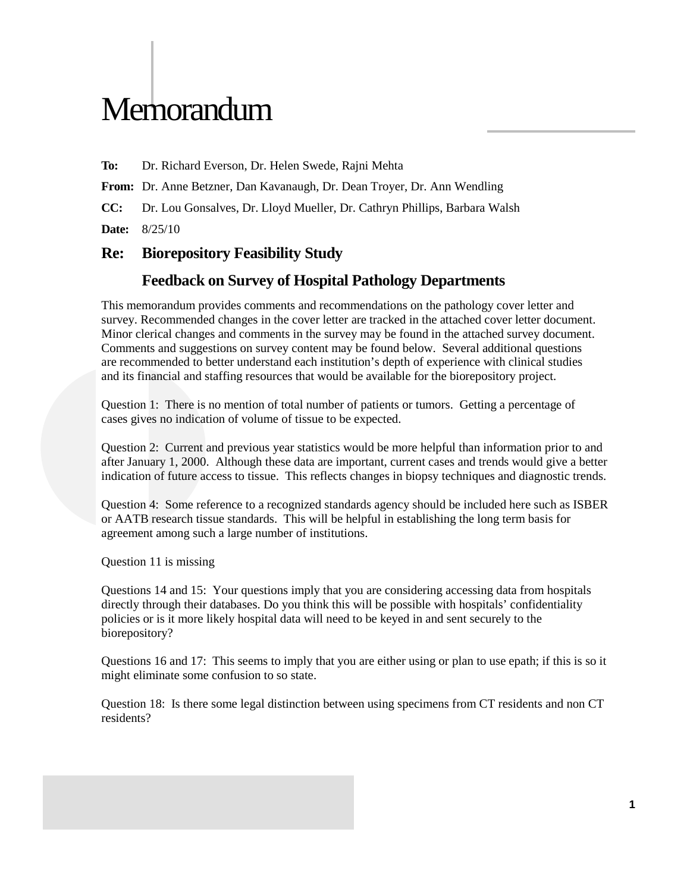## **Memorandum**

**To:** Dr. Richard Everson, Dr. Helen Swede, Rajni Mehta

**From:** Dr. Anne Betzner, Dan Kavanaugh, Dr. Dean Troyer, Dr. Ann Wendling

**CC:** Dr. Lou Gonsalves, Dr. Lloyd Mueller, Dr. Cathryn Phillips, Barbara Walsh

**Date:** 8/25/10

## **Re: Biorepository Feasibility Study**

## **Feedback on Survey of Hospital Pathology Departments**

This memorandum provides comments and recommendations on the pathology cover letter and survey. Recommended changes in the cover letter are tracked in the attached cover letter document. Minor clerical changes and comments in the survey may be found in the attached survey document. Comments and suggestions on survey content may be found below. Several additional questions are recommended to better understand each institution's depth of experience with clinical studies and its financial and staffing resources that would be available for the biorepository project.

Question 1: There is no mention of total number of patients or tumors. Getting a percentage of cases gives no indication of volume of tissue to be expected.

Question 2: Current and previous year statistics would be more helpful than information prior to and after January 1, 2000. Although these data are important, current cases and trends would give a better indication of future access to tissue. This reflects changes in biopsy techniques and diagnostic trends.

Question 4: Some reference to a recognized standards agency should be included here such as ISBER or AATB research tissue standards. This will be helpful in establishing the long term basis for agreement among such a large number of institutions.

Question 11 is missing

Questions 14 and 15: Your questions imply that you are considering accessing data from hospitals directly through their databases. Do you think this will be possible with hospitals' confidentiality policies or is it more likely hospital data will need to be keyed in and sent securely to the biorepository?

Questions 16 and 17: This seems to imply that you are either using or plan to use epath; if this is so it might eliminate some confusion to so state.

Question 18: Is there some legal distinction between using specimens from CT residents and non CT residents?